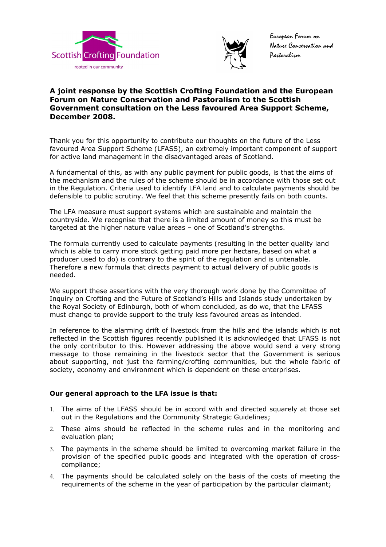



European Forum on Nature Conservation and Pastoralism

# **A joint response by the Scottish Crofting Foundation and the European Forum on Nature Conservation and Pastoralism to the Scottish Government consultation on the Less favoured Area Support Scheme, December 2008.**

Thank you for this opportunity to contribute our thoughts on the future of the Less favoured Area Support Scheme (LFASS), an extremely important component of support for active land management in the disadvantaged areas of Scotland.

A fundamental of this, as with any public payment for public goods, is that the aims of the mechanism and the rules of the scheme should be in accordance with those set out in the Regulation. Criteria used to identify LFA land and to calculate payments should be defensible to public scrutiny. We feel that this scheme presently fails on both counts.

The LFA measure must support systems which are sustainable and maintain the countryside. We recognise that there is a limited amount of money so this must be targeted at the higher nature value areas – one of Scotland's strengths.

The formula currently used to calculate payments (resulting in the better quality land which is able to carry more stock getting paid more per hectare, based on what a producer used to do) is contrary to the spirit of the regulation and is untenable. Therefore a new formula that directs payment to actual delivery of public goods is needed.

We support these assertions with the very thorough work done by the Committee of Inquiry on Crofting and the Future of Scotland's Hills and Islands study undertaken by the Royal Society of Edinburgh, both of whom concluded, as do we, that the LFASS must change to provide support to the truly less favoured areas as intended.

In reference to the alarming drift of livestock from the hills and the islands which is not reflected in the Scottish figures recently published it is acknowledged that LFASS is not the only contributor to this. However addressing the above would send a very strong message to those remaining in the livestock sector that the Government is serious about supporting, not just the farming/crofting communities, but the whole fabric of society, economy and environment which is dependent on these enterprises.

# **Our general approach to the LFA issue is that:**

- 1. The aims of the LFASS should be in accord with and directed squarely at those set out in the Regulations and the Community Strategic Guidelines;
- 2. These aims should be reflected in the scheme rules and in the monitoring and evaluation plan;
- 3. The payments in the scheme should be limited to overcoming market failure in the provision of the specified public goods and integrated with the operation of crosscompliance;
- 4. The payments should be calculated solely on the basis of the costs of meeting the requirements of the scheme in the year of participation by the particular claimant;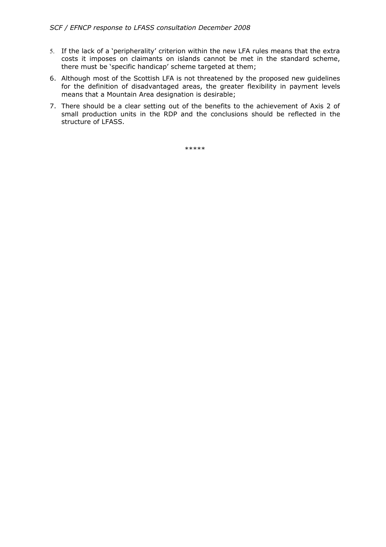- 5. If the lack of a 'peripherality' criterion within the new LFA rules means that the extra costs it imposes on claimants on islands cannot be met in the standard scheme, there must be 'specific handicap' scheme targeted at them;
- 6. Although most of the Scottish LFA is not threatened by the proposed new guidelines for the definition of disadvantaged areas, the greater flexibility in payment levels means that a Mountain Area designation is desirable;
- 7. There should be a clear setting out of the benefits to the achievement of Axis 2 of small production units in the RDP and the conclusions should be reflected in the structure of LFASS.

\*\*\*\*\*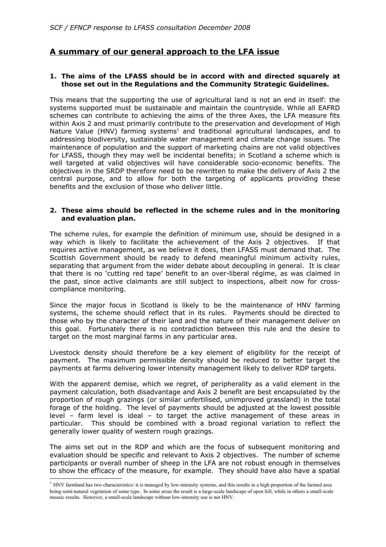# **A summary of our general approach to the LFA issue**

## **1. The aims of the LFASS should be in accord with and directed squarely at those set out in the Regulations and the Community Strategic Guidelines.**

This means that the supporting the use of agricultural land is not an end in itself: the systems supported must be sustainable and maintain the countryside. While all EAFRD schemes can contribute to achieving the aims of the three Axes, the LFA measure fits within Axis 2 and must primarily contribute to the preservation and development of High Nature Value (HNV) farming systems<sup>[1](#page-2-0)</sup> and traditional agricultural landscapes, and to addressing biodiversity, sustainable water management and climate change issues. The maintenance of population and the support of marketing chains are not valid objectives for LFASS, though they may well be incidental benefits; in Scotland a scheme which is well targeted at valid objectives will have considerable socio-economic benefits. The objectives in the SRDP therefore need to be rewritten to make the delivery of Axis 2 the central purpose, and to allow for both the targeting of applicants providing these benefits and the exclusion of those who deliver little.

## **2. These aims should be reflected in the scheme rules and in the monitoring and evaluation plan.**

The scheme rules, for example the definition of minimum use, should be designed in a way which is likely to facilitate the achievement of the Axis 2 objectives. If that requires active management, as we believe it does, then LFASS must demand that. The Scottish Government should be ready to defend meaningful minimum activity rules, separating that argument from the wider debate about decoupling in general. It is clear that there is no 'cutting red tape' benefit to an over-liberal régime, as was claimed in the past, since active claimants are still subject to inspections, albeit now for crosscompliance monitoring.

Since the major focus in Scotland is likely to be the maintenance of HNV farming systems, the scheme should reflect that in its rules. Payments should be directed to those who by the character of their land and the nature of their management deliver on this goal. Fortunately there is no contradiction between this rule and the desire to target on the most marginal farms in any particular area.

Livestock density should therefore be a key element of eligibility for the receipt of payment. The maximum permissible density should be reduced to better target the payments at farms delivering lower intensity management likely to deliver RDP targets.

With the apparent demise, which we regret, of peripherality as a valid element in the payment calculation, both disadvantage and Axis 2 benefit are best encapsulated by the proportion of rough grazings (or similar unfertilised, unimproved grassland) in the total forage of the holding. The level of payments should be adjusted at the lowest possible level – farm level is ideal – to target the active management of these areas in particular. This should be combined with a broad regional variation to reflect the generally lower quality of western rough grazings.

The aims set out in the RDP and which are the focus of subsequent monitoring and evaluation should be specific and relevant to Axis 2 objectives. The number of scheme participants or overall number of sheep in the LFA are not robust enough in themselves to show the efficacy of the measure, for example. They should have also have a spatial

<span id="page-2-0"></span><sup>&</sup>lt;sup>1</sup> HNV farmland has two characteristics: it is managed by low-intensity systems, and this results in a high proportion of the farmed area being semi-natural vegetation of some type. In some areas the result is a large-scale landscape of open hill, while in others a small-scale mosaic results. However, a small-scale landscape without low-intensity use is not HNV.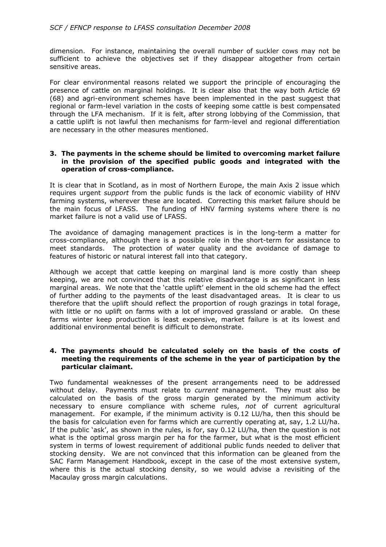dimension. For instance, maintaining the overall number of suckler cows may not be sufficient to achieve the objectives set if they disappear altogether from certain sensitive areas.

For clear environmental reasons related we support the principle of encouraging the presence of cattle on marginal holdings. It is clear also that the way both Article 69 (68) and agri-environment schemes have been implemented in the past suggest that regional or farm-level variation in the costs of keeping some cattle is best compensated through the LFA mechanism. If it is felt, after strong lobbying of the Commission, that a cattle uplift is not lawful then mechanisms for farm-level and regional differentiation are necessary in the other measures mentioned.

### **3. The payments in the scheme should be limited to overcoming market failure in the provision of the specified public goods and integrated with the operation of cross-compliance.**

It is clear that in Scotland, as in most of Northern Europe, the main Axis 2 issue which requires urgent *support* from the public funds is the lack of economic viability of HNV farming systems, wherever these are located. Correcting this market failure should be the main focus of LFASS. The funding of HNV farming systems where there is no market failure is not a valid use of LFASS.

The avoidance of damaging management practices is in the long-term a matter for cross-compliance, although there is a possible role in the short-term for assistance to meet standards. The protection of water quality and the avoidance of damage to features of historic or natural interest fall into that category.

Although we accept that cattle keeping on marginal land is more costly than sheep keeping, we are not convinced that this relative disadvantage is as significant in less marginal areas. We note that the 'cattle uplift' element in the old scheme had the effect of further adding to the payments of the least disadvantaged areas. It is clear to us therefore that the uplift should reflect the proportion of rough grazings in total forage, with little or no uplift on farms with a lot of improved grassland or arable. On these farms winter keep production is least expensive, market failure is at its lowest and additional environmental benefit is difficult to demonstrate.

### **4. The payments should be calculated solely on the basis of the costs of meeting the requirements of the scheme in the year of participation by the particular claimant.**

Two fundamental weaknesses of the present arrangements need to be addressed without delay. Payments must relate to *current* management. They must also be calculated on the basis of the gross margin generated by the minimum activity necessary to ensure compliance with scheme rules, *not* of current agricultural management. For example, if the minimum activity is 0.12 LU/ha, then this should be the basis for calculation even for farms which are currently operating at, say, 1.2 LU/ha. If the public 'ask', as shown in the rules, is for, say 0.12 LU/ha, then the question is not what is the optimal gross margin per ha for the farmer, but what is the most efficient system in terms of lowest requirement of additional public funds needed to deliver that stocking density. We are not convinced that this information can be gleaned from the SAC Farm Management Handbook, except in the case of the most extensive system, where this is the actual stocking density, so we would advise a revisiting of the Macaulay gross margin calculations.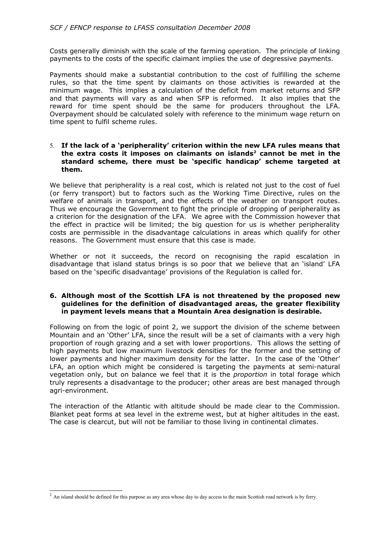Costs generally diminish with the scale of the farming operation. The principle of linking payments to the costs of the specific claimant implies the use of degressive payments.

Payments should make a substantial contribution to the cost of fulfilling the scheme rules, so that the time spent by claimants on those activities is rewarded at the minimum wage. This implies a calculation of the deficit from market returns and SFP and that payments will vary as and when SFP is reformed. It also implies that the reward for time spent should be the same for producers throughout the LFA. Overpayment should be calculated solely with reference to the minimum wage return on time spent to fulfil scheme rules.

#### 5. **If the lack of a 'peripherality' criterion within the new LFA rules means that the extra costs it imposes on claimants on islands[2](#page-4-0) cannot be met in the standard scheme, there must be 'specific handicap' scheme targeted at them.**

We believe that peripherality is a real cost, which is related not just to the cost of fuel (or ferry transport) but to factors such as the Working Time Directive, rules on the welfare of animals in transport, and the effects of the weather on transport routes. Thus we encourage the Government to fight the principle of dropping of peripherality as a criterion for the designation of the LFA. We agree with the Commission however that the effect in practice will be limited; the big question for us is whether peripherality costs are permissible in the disadvantage calculations in areas which qualify for other reasons. The Government must ensure that this case is made.

Whether or not it succeeds, the record on recognising the rapid escalation in disadvantage that island status brings is so poor that we believe that an 'island' LFA based on the 'specific disadvantage' provisions of the Regulation is called for.

## **6. Although most of the Scottish LFA is not threatened by the proposed new guidelines for the definition of disadvantaged areas, the greater flexibility in payment levels means that a Mountain Area designation is desirable.**

Following on from the logic of point 2, we support the division of the scheme between Mountain and an 'Other' LFA, since the result will be a set of claimants with a very high proportion of rough grazing and a set with lower proportions. This allows the setting of high payments but low maximum livestock densities for the former and the setting of lower payments and higher maximum density for the latter. In the case of the 'Other' LFA, an option which might be considered is targeting the payments at semi-natural vegetation only, but on balance we feel that it is the *proportion* in total forage which truly represents a disadvantage to the producer; other areas are best managed through agri-environment.

The interaction of the Atlantic with altitude should be made clear to the Commission. Blanket peat forms at sea level in the extreme west, but at higher altitudes in the east. The case is clearcut, but will not be familiar to those living in continental climates.

<span id="page-4-0"></span><sup>&</sup>lt;sup>2</sup> An island should be defined for this purpose as any area whose day to day access to the main Scottish road network is by ferry.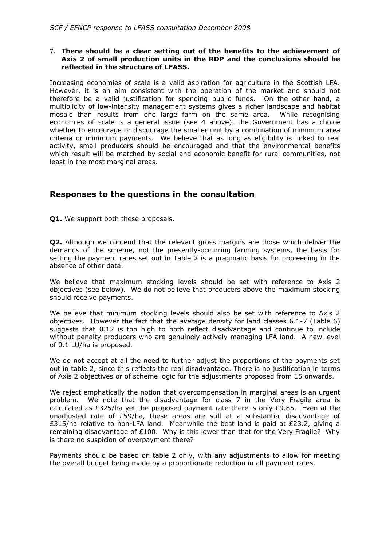## **7. There should be a clear setting out of the benefits to the achievement of Axis 2 of small production units in the RDP and the conclusions should be reflected in the structure of LFASS.**

Increasing economies of scale is a valid aspiration for agriculture in the Scottish LFA. However, it is an aim consistent with the operation of the market and should not therefore be a valid justification for spending public funds. On the other hand, a multiplicity of low-intensity management systems gives a richer landscape and habitat mosaic than results from one large farm on the same area. While recognising economies of scale is a general issue (see 4 above), the Government has a choice whether to encourage or discourage the smaller unit by a combination of minimum area criteria or minimum payments. We believe that as long as eligibility is linked to real activity, small producers should be encouraged and that the environmental benefits which result will be matched by social and economic benefit for rural communities, not least in the most marginal areas.

# **Responses to the questions in the consultation**

**Q1.** We support both these proposals.

**Q2.** Although we contend that the relevant gross margins are those which deliver the demands of the scheme, not the presently-occurring farming systems, the basis for setting the payment rates set out in Table 2 is a pragmatic basis for proceeding in the absence of other data.

We believe that maximum stocking levels should be set with reference to Axis 2 objectives (see below). We do not believe that producers above the maximum stocking should receive payments.

We believe that minimum stocking levels should also be set with reference to Axis 2 objectives. However the fact that the *average* density for land classes 6.1-7 (Table 6) suggests that 0.12 is too high to both reflect disadvantage and continue to include without penalty producers who are genuinely actively managing LFA land. A new level of 0.1 LU/ha is proposed.

We do not accept at all the need to further adjust the proportions of the payments set out in table 2, since this reflects the real disadvantage. There is no justification in terms of Axis 2 objectives or of scheme logic for the adjustments proposed from 15 onwards.

We reject emphatically the notion that overcompensation in marginal areas is an urgent problem. We note that the disadvantage for class 7 in the Very Fragile area is calculated as £325/ha yet the proposed payment rate there is only  $£9.85$ . Even at the unadjusted rate of £59/ha, these areas are still at a substantial disadvantage of £315/ha relative to non-LFA land. Meanwhile the best land is paid at £23.2, giving a remaining disadvantage of  $£100$ . Why is this lower than that for the Very Fragile? Why is there no suspicion of overpayment there?

Payments should be based on table 2 only, with any adjustments to allow for meeting the overall budget being made by a proportionate reduction in all payment rates.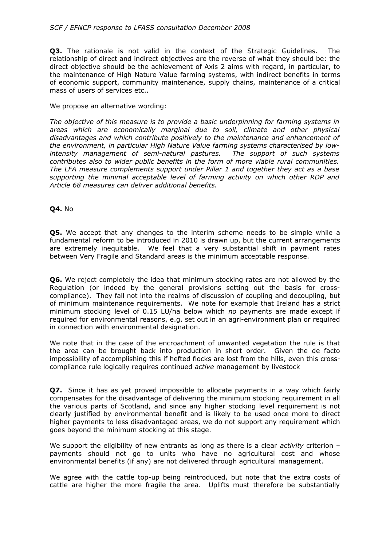## *SCF / EFNCP response to LFASS consultation December 2008*

**Q3.** The rationale is not valid in the context of the Strategic Guidelines. The relationship of direct and indirect objectives are the reverse of what they should be: the direct objective should be the achievement of Axis 2 aims with regard, in particular, to the maintenance of High Nature Value farming systems, with indirect benefits in terms of economic support, community maintenance, supply chains, maintenance of a critical mass of users of services etc..

We propose an alternative wording:

*The objective of this measure is to provide a basic underpinning for farming systems in areas which are economically marginal due to soil, climate and other physical disadvantages and which contribute positively to the maintenance and enhancement of the environment, in particular High Nature Value farming systems characterised by lowintensity management of semi-natural pastures. The support of such systems contributes also to wider public benefits in the form of more viable rural communities. The LFA measure complements support under Pillar 1 and together they act as a base supporting the minimal acceptable level of farming activity on which other RDP and Article 68 measures can deliver additional benefits.*

## **Q4.** No

**Q5.** We accept that any changes to the interim scheme needs to be simple while a fundamental reform to be introduced in 2010 is drawn up, but the current arrangements are extremely inequitable. We feel that a very substantial shift in payment rates between Very Fragile and Standard areas is the minimum acceptable response.

**Q6.** We reject completely the idea that minimum stocking rates are not allowed by the Regulation (or indeed by the general provisions setting out the basis for crosscompliance). They fall not into the realms of discussion of coupling and decoupling, but of minimum maintenance requirements. We note for example that Ireland has a strict minimum stocking level of 0.15 LU/ha below which *no* payments are made except if required for environmental reasons, e.g. set out in an agri-environment plan or required in connection with environmental designation.

We note that in the case of the encroachment of unwanted vegetation the rule is that the area can be brought back into production in short order. Given the de facto impossibility of accomplishing this if hefted flocks are lost from the hills, even this crosscompliance rule logically requires continued *active* management by livestock

**Q7.** Since it has as yet proved impossible to allocate payments in a way which fairly compensates for the disadvantage of delivering the minimum stocking requirement in all the various parts of Scotland, and since any higher stocking level requirement is not clearly justified by environmental benefit and is likely to be used once more to direct higher payments to less disadvantaged areas, we do not support any requirement which goes beyond the minimum stocking at this stage.

We support the eligibility of new entrants as long as there is a clear *activity* criterion – payments should not go to units who have no agricultural cost and whose environmental benefits (if any) are not delivered through agricultural management.

We agree with the cattle top-up being reintroduced, but note that the extra costs of cattle are higher the more fragile the area. Uplifts must therefore be substantially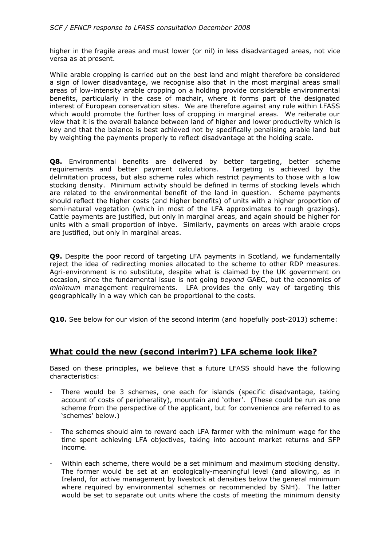higher in the fragile areas and must lower (or nil) in less disadvantaged areas, not vice versa as at present.

While arable cropping is carried out on the best land and might therefore be considered a sign of lower disadvantage, we recognise also that in the most marginal areas small areas of low-intensity arable cropping on a holding provide considerable environmental benefits, particularly in the case of machair, where it forms part of the designated interest of European conservation sites. We are therefore against any rule within LFASS which would promote the further loss of cropping in marginal areas. We reiterate our view that it is the overall balance between land of higher and lower productivity which is key and that the balance is best achieved not by specifically penalising arable land but by weighting the payments properly to reflect disadvantage at the holding scale.

**Q8.** Environmental benefits are delivered by better targeting, better scheme requirements and better payment calculations. Targeting is achieved by the delimitation process, but also scheme rules which restrict payments to those with a low stocking density. Minimum activity should be defined in terms of stocking levels which are related to the environmental benefit of the land in question. Scheme payments should reflect the higher costs (and higher benefits) of units with a higher proportion of semi-natural vegetation (which in most of the LFA approximates to rough grazings). Cattle payments are justified, but only in marginal areas, and again should be higher for units with a small proportion of inbye. Similarly, payments on areas with arable crops are justified, but only in marginal areas.

**Q9.** Despite the poor record of targeting LFA payments in Scotland, we fundamentally reject the idea of redirecting monies allocated to the scheme to other RDP measures. Agri-environment is no substitute, despite what is claimed by the UK government on occasion, since the fundamental issue is not going *beyond* GAEC, but the economics of *minimum* management requirements. LFA provides the only way of targeting this geographically in a way which can be proportional to the costs.

**Q10.** See below for our vision of the second interim (and hopefully post-2013) scheme:

# **What could the new (second interim?) LFA scheme look like?**

Based on these principles, we believe that a future LFASS should have the following characteristics:

- There would be 3 schemes, one each for islands (specific disadvantage, taking account of costs of peripherality), mountain and 'other'. (These could be run as one scheme from the perspective of the applicant, but for convenience are referred to as 'schemes' below.)
- The schemes should aim to reward each LFA farmer with the minimum wage for the time spent achieving LFA objectives, taking into account market returns and SFP income.
- Within each scheme, there would be a set minimum and maximum stocking density. The former would be set at an ecologically-meaningful level (and allowing, as in Ireland, for active management by livestock at densities below the general minimum where required by environmental schemes or recommended by SNH). The latter would be set to separate out units where the costs of meeting the minimum density